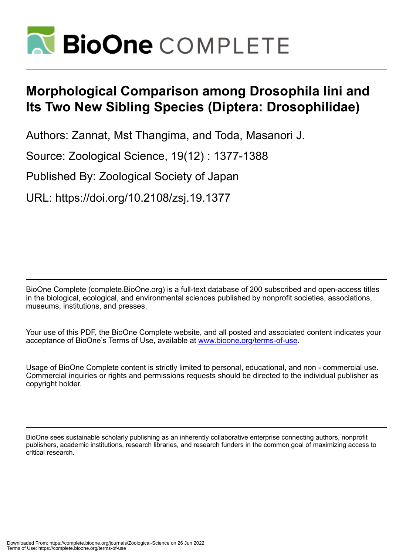

# **Morphological Comparison among Drosophila lini and Its Two New Sibling Species (Diptera: Drosophilidae)**

Authors: Zannat, Mst Thangima, and Toda, Masanori J.

Source: Zoological Science, 19(12) : 1377-1388

Published By: Zoological Society of Japan

URL: https://doi.org/10.2108/zsj.19.1377

BioOne Complete (complete.BioOne.org) is a full-text database of 200 subscribed and open-access titles in the biological, ecological, and environmental sciences published by nonprofit societies, associations, museums, institutions, and presses.

Your use of this PDF, the BioOne Complete website, and all posted and associated content indicates your acceptance of BioOne's Terms of Use, available at www.bioone.org/terms-of-use.

Usage of BioOne Complete content is strictly limited to personal, educational, and non - commercial use. Commercial inquiries or rights and permissions requests should be directed to the individual publisher as copyright holder.

BioOne sees sustainable scholarly publishing as an inherently collaborative enterprise connecting authors, nonprofit publishers, academic institutions, research libraries, and research funders in the common goal of maximizing access to critical research.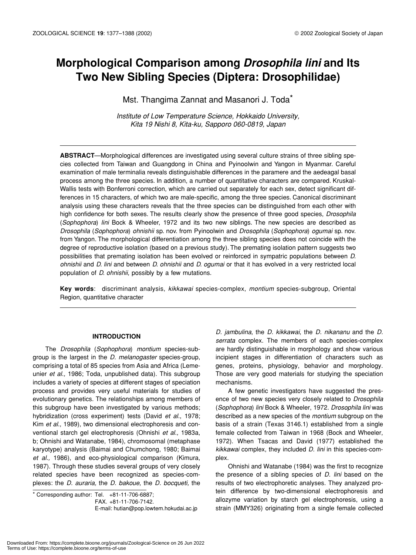# **Morphological Comparison among** *Drosophila lini* **and Its Two New Sibling Species (Diptera: Drosophilidae)**

Mst. Thangima Zannat and Masanori J. Toda\*

*Institute of Low Temperature Science, Hokkaido University, Kita 19 Nishi 8, Kita-ku, Sapporo 060-0819, Japan*

**ABSTRACT**—Morphological differences are investigated using several culture strains of three sibling species collected from Taiwan and Guangdong in China and Pyinoolwin and Yangon in Myanmar. Careful examination of male terminalia reveals distinguishable differences in the paramere and the aedeagal basal process among the three species. In addition, a number of quantitative characters are compared. Kruskal-Wallis tests with Bonferroni correction, which are carried out separately for each sex, detect significant differences in 15 characters, of which two are male-specific, among the three species. Canonical discriminant analysis using these characters reveals that the three species can be distinguished from each other with high confidence for both sexes. The results clearly show the presence of three good species, *Drosophila* (*Sophophora*) *lini* Bock & Wheeler, 1972 and its two new siblings. The new species are described as *Drosophila* (*Sophophora*) *ohnishii* sp. nov. from Pyinoolwin and *Drosophila* (*Sophophora*) *ogumai* sp. nov. from Yangon. The morphological differentiation among the three sibling species does not coincide with the degree of reproductive isolation (based on a previous study). The premating isolation pattern suggests two possibilities that premating isolation has been evolved or reinforced in sympatric populations between *D. ohnishii* and *D. lini* and between *D. ohnishii* and *D. ogumai* or that it has evolved in a very restricted local population of *D. ohnishii*, possibly by a few mutations.

**Key words**: discriminant analysis, *kikkawai* species-complex, *montium* species-subgroup, Oriental Region, quantitative character

# **INTRODUCTION**

The *Drosophila* (*Sophophora*) *montium* species-subgroup is the largest in the *D. melanogaster* species-group, comprising a total of 85 species from Asia and Africa (Lemeunier *et al.,* 1986; Toda, unpublished data). This subgroup includes a variety of species at different stages of speciation process and provides very useful materials for studies of evolutionary genetics. The relationships among members of this subgroup have been investigated by various methods; hybridization (cross experiment) tests (David *et al.*, 1978; Kim *et al*., 1989), two dimensional electrophoresis and conventional starch gel electrophoresis (Ohnishi *et al.,* 1983a, b; Ohnishi and Watanabe, 1984), chromosomal (metaphase karyotype) analysis (Baimai and Chumchong, 1980; Baimai *et al.,* 1986), and eco-physiological comparison (Kimura, 1987). Through these studies several groups of very closely related species have been recognized as species-complexes: the *D. auraria,* the *D. bakoue*, the *D. bocqueti,* the

\* Corresponding author: Tel. +81-11-706-6887;

E-mail: hutian@pop.lowtem.hokudai.ac.jp

*D. jambulina*, the *D. kikkawai*, the *D. nikananu* and the *D. serrata* complex. The members of each species-complex are hardly distinguishable in morphology and show various incipient stages in differentiation of characters such as genes, proteins, physiology, behavior and morphology. Those are very good materials for studying the speciation mechanisms.

A few genetic investigators have suggested the presence of two new species very closely related to *Drosophila* (*Sophophora*) *lini* Bock & Wheeler, 1972. *Drosophila lini* was described as a new species of the *montium* subgroup on the basis of a strain (Texas 3146.1) established from a single female collected from Taiwan in 1968 (Bock and Wheeler, 1972). When Tsacas and David (1977) established the *kikkawai* complex, they included *D. lini* in this species-complex.

Ohnishi and Watanabe (1984) was the first to recognize the presence of a sibling species of *D. lini* based on the results of two electrophoretic analyses. They analyzed protein difference by two-dimensional electrophoresis and allozyme variation by starch gel electrophoresis, using a strain (MMY326) originating from a single female collected

FAX. +81-11-706-7142.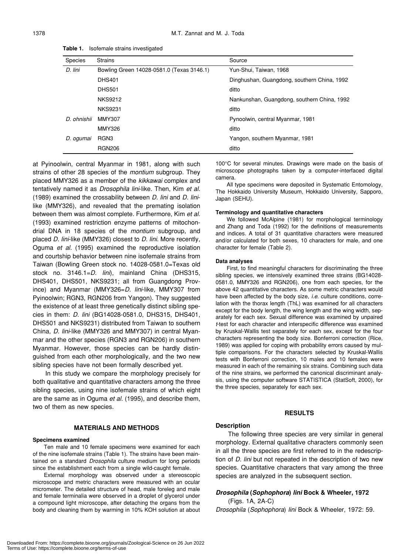| Species     | <b>Strains</b>                            | Source                                      |
|-------------|-------------------------------------------|---------------------------------------------|
| D. lini     | Bowling Green 14028-0581.0 (Texas 3146.1) | Yun-Shui, Taiwan, 1968                      |
|             | <b>DHS401</b>                             | Dinghushan, Guangdong, southern China, 1992 |
|             | <b>DHS501</b>                             | ditto                                       |
|             | <b>NKS9212</b>                            | Nankunshan, Guangdong, southern China, 1992 |
|             | <b>NKS9231</b>                            | ditto                                       |
| D. ohnishii | MMY307                                    | Pynoolwin, central Myanmar, 1981            |
|             | <b>MMY326</b>                             | ditto                                       |
| D. ogumai   | RGN <sub>3</sub>                          | Yangon, southern Myanmar, 1981              |
|             | <b>RGN206</b>                             | ditto                                       |

**Table 1.** Isofemale strains investigated

at Pyinoolwin, central Myanmar in 1981, along with such strains of other 28 species of the *montium* subgroup. They placed MMY326 as a member of the *kikkawai* complex and tentatively named it as *Drosophila lini*-like. Then, Kim *et al.* (1989) examined the crossability between *D. lini* and *D. lini*like (MMY326), and revealed that the premating isolation between them was almost complete. Furthermore, Kim *et al.* (1993) examined restriction enzyme patterns of mitochondrial DNA in 18 species of the *montium* subgroup, and placed *D. lini*-like (MMY326) closest to *D. lini*. More recently, Oguma *et al.* (1995) examined the reproductive isolation and courtship behavior between nine isofemale strains from Taiwan (Bowling Green stock no. 14028-0581.0=Texas old stock no. 3146.1=*D. lini*), mainland China (DHS315, DHS401, DHS501, NKS9231; all from Guangdong Province) and Myanmar (MMY326=*D. lini*-like, MMY307 from Pyinoolwin; RGN3, RGN206 from Yangon). They suggested the existence of at least three genetically distinct sibling species in them: *D. lini* (BG14028-0581.0, DHS315, DHS401, DHS501 and NKS9231) distributed from Taiwan to southern China, *D. lini*-like (MMY326 and MMY307) in central Myanmar and the other species (RGN3 and RGN206) in southern Myanmar. However, those species can be hardly distinguished from each other morphologically, and the two new sibling species have not been formally described yet.

In this study we compare the morphology precisely for both qualitative and quantitative characters among the three sibling species, using nine isofemale strains of which eight are the same as in Oguma *et al.* (1995), and describe them, two of them as new species.

# **MATERIALS AND METHODS**

#### **Specimens examined**

Ten male and 10 female specimens were examined for each of the nine isofemale strains (Table 1). The strains have been maintained on a standard *Drosophila* culture medium for long periods since the establishment each from a single wild-caught female.

External morphology was observed under a stereoscopic microscope and metric characters were measured with an ocular micrometer. The detailed structure of head, male foreleg and male and female terminalia were observed in a droplet of glycerol under a compound light microscope, after detaching the organs from the body and cleaning them by warming in 10% KOH solution at about 100°C for several minutes. Drawings were made on the basis of microscope photographs taken by a computer-interfaced digital camera.

All type specimens were deposited in Systematic Entomology, The Hokkaido University Museum, Hokkaido University, Sapporo, Japan (SEHU).

#### **Terminology and quantitative characters**

We followed McAlpine (1981) for morphological terminology and Zhang and Toda (1992) for the definitions of measurements and indices. A total of 31 quantitative characters were measured and/or calculated for both sexes, 10 characters for male, and one character for female (Table 2).

#### **Data analyses**

First, to find meaningful characters for discriminating the three sibling species, we intensively examined three strains (BG14028- 0581.0, MMY326 and RGN206), one from each species, for the above 42 quantitative characters. As some metric characters would have been affected by the body size, *i.e*. culture conditions, correlation with the thorax length (ThL) was examined for all characters except for the body length, the wing length and the wing width, separately for each sex. Sexual difference was examined by unpaired *t*-test for each character and interspecific difference was examined by Kruskal-Wallis test separately for each sex, except for the four characters representing the body size. Bonferroni correction (Rice, 1989) was applied for coping with probability errors caused by multiple comparisons. For the characters selected by Kruskal-Wallis tests with Bonferroni correction, 10 males and 10 females were measured in each of the remaining six strains. Combining such data of the nine strains, we performed the canonical discriminant analysis, using the computer software STATISTICA (StatSoft, 2000), for the three species, separately for each sex.

#### **RESULTS**

#### **Description**

The following three species are very similar in general morphology. External qualitative characters commonly seen in all the three species are first referred to in the redescription of *D. lini* but not repeated in the description of two new species. Quantitative characters that vary among the three species are analyzed in the subsequent section.

# *Drosophila* **(***Sophophora***)** *lini* **Bock & Wheeler, 1972**

(Figs. 1A, 2A-C) *Drosophila* (*Sophophora*) *lini* Bock & Wheeler, 1972: 59.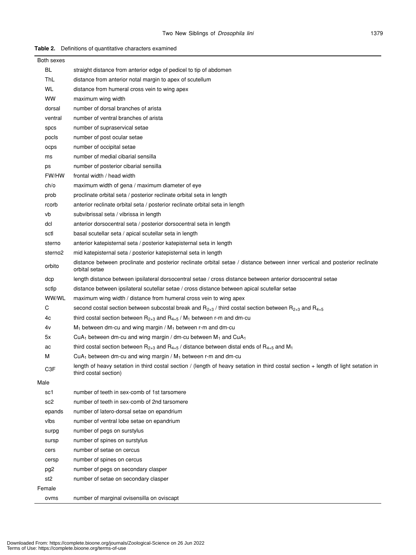# **Table 2.** Definitions of quantitative characters examined

|      | Both sexes          |                                                                                                                                                             |
|------|---------------------|-------------------------------------------------------------------------------------------------------------------------------------------------------------|
|      | BL                  | straight distance from anterior edge of pedicel to tip of abdomen                                                                                           |
|      | <b>ThL</b>          | distance from anterior notal margin to apex of scutellum                                                                                                    |
|      | <b>WL</b>           | distance from humeral cross vein to wing apex                                                                                                               |
|      | WW                  | maximum wing width                                                                                                                                          |
|      | dorsal              | number of dorsal branches of arista                                                                                                                         |
|      | ventral             | number of ventral branches of arista                                                                                                                        |
|      | spcs                | number of supraservical setae                                                                                                                               |
|      | pocls               | number of post ocular setae                                                                                                                                 |
|      | ocps                | number of occipital setae                                                                                                                                   |
|      | ms                  | number of medial cibarial sensilla                                                                                                                          |
|      | ps                  | number of posterior cibarial sensilla                                                                                                                       |
|      | FW/HW               | frontal width / head width                                                                                                                                  |
|      | ch/o                | maximum width of gena / maximum diameter of eye                                                                                                             |
|      | prob                | proclinate orbital seta / posterior reclinate orbital seta in length                                                                                        |
|      | rcorb               | anterior reclinate orbital seta / posterior reclinate orbital seta in length                                                                                |
|      | vb                  | subvibrissal seta / vibrissa in length                                                                                                                      |
|      | dcl                 | anterior dorsocentral seta / posterior dorsocentral seta in length                                                                                          |
|      | sctl                | basal scutellar seta / apical scutellar seta in length                                                                                                      |
|      | sterno              | anterior katepisternal seta / posterior katepisternal seta in length                                                                                        |
|      | sterno <sub>2</sub> | mid katepisternal seta / posterior katepisternal seta in length                                                                                             |
|      | orbito              | distance between proclinate and posterior reclinate orbital setae / distance between inner vertical and posterior reclinate<br>orbital setae                |
|      | dcp                 | length distance between ipsilateral dorsocentral setae / cross distance between anterior dorsocentral setae                                                 |
|      | sctlp               | distance between ipsilateral scutellar setae / cross distance between apical scutellar setae                                                                |
|      | WW/WL               | maximum wing width / distance from humeral cross vein to wing apex                                                                                          |
|      | C                   | second costal section between subcostal break and $R_{2+3}$ / third costal section between $R_{2+3}$ and $R_{4+5}$                                          |
|      | 4c                  | third costal section between $R_{2+3}$ and $R_{4+5}$ / M <sub>1</sub> between r-m and dm-cu                                                                 |
|      | 4v                  | $M_1$ between dm-cu and wing margin / $M_1$ between r-m and dm-cu                                                                                           |
|      | 5x                  | CuA <sub>1</sub> between dm-cu and wing margin / dm-cu between $M_1$ and CuA <sub>1</sub>                                                                   |
|      | ac                  | third costal section between $R_{2+3}$ and $R_{4+5}$ / distance between distal ends of $R_{4+5}$ and $M_1$                                                  |
|      | М                   | CuA <sub>1</sub> between dm-cu and wing margin / $M_1$ between r-m and dm-cu                                                                                |
|      | C <sub>3</sub> F    | length of heavy setation in third costal section / (length of heavy setation in third costal section + length of light setation in<br>third costal section) |
| Male |                     |                                                                                                                                                             |
|      | sc1                 | number of teeth in sex-comb of 1st tarsomere                                                                                                                |
|      | sc <sub>2</sub>     | number of teeth in sex-comb of 2nd tarsomere                                                                                                                |
|      | epands              | number of latero-dorsal setae on epandrium                                                                                                                  |
|      | vlbs                | number of ventral lobe setae on epandrium                                                                                                                   |
|      | surpg               | number of pegs on surstylus                                                                                                                                 |
|      | sursp               | number of spines on surstylus                                                                                                                               |
|      | cers                | number of setae on cercus                                                                                                                                   |
|      | cersp               | number of spines on cercus                                                                                                                                  |
|      | pg <sub>2</sub>     | number of pegs on secondary clasper                                                                                                                         |
|      | st2                 | number of setae on secondary clasper                                                                                                                        |
|      | Female              |                                                                                                                                                             |
|      | ovms                | number of marginal ovisensilla on oviscapt                                                                                                                  |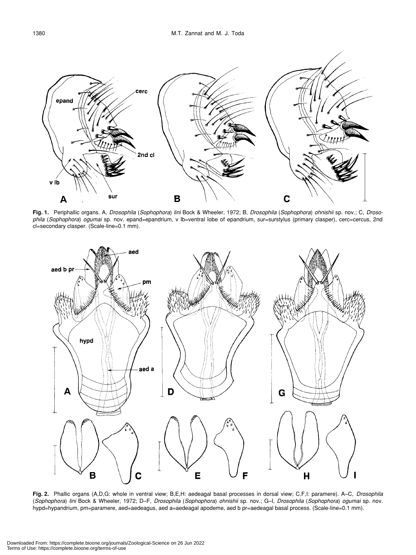

**Fig. 1.** Periphallic organs. A, *Drosophila* (*Sophophora*) *lini* Bock & Wheeler, 1972; B, *Drosophila* (*Sophophora*) *ohnishii* sp. nov.; C, *Drosophila* (*Sophophora*) *ogumai* sp. nov. epand=epandrium, v lb=ventral lobe of epandrium, sur=surstylus (primary clasper), cerc=cercus, 2nd cl=secondary clasper. (Scale-line=0.1 mm).



**Fig. 2.** Phallic organs (A,D,G: whole in ventral view; B,E,H: aedeagal basal processes in dorsal view; C,F,I: paramere). A–C, *Drosophila* (*Sophophora*) *lini* Bock & Wheeler, 1972; D–F, *Drosophila* (*Sophophora*) *ohnishii* sp. nov.; G–I, *Drosophila* (*Sophophora*) *ogumai* sp. nov. hypd=hypandrium, pm=paramere, aed=aedeagus, aed a=aedeagal apodeme, aed b pr=aedeagal basal process. (Scale-line=0.1 mm).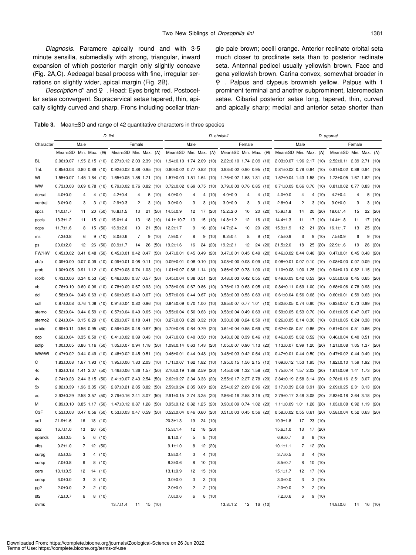*Diagnosis.* Paramere apically round and with 3-5 minute sensilla, submedially with strong, triangular, inward expansion of which posterior margin only slightly concave (Fig. 2A,C). Aedeagal basal process with fine, irregular serrations on slightly wider, apical margin (Fig. 2B).

*Description* and . Head: Eyes bright red. Postocellar setae convergent. Supracervical setae tapered, thin, apically slightly curved and sharp. Frons including ocellar triangle pale brown; ocelli orange. Anterior reclinate orbital seta much closer to proclinate seta than to posterior reclinate seta. Antennal pedicel usually yellowish brown. Face and gena yellowish brown. Carina convex, somewhat broader in

. Palpus and clypeus brownish yellow. Palpus with 1 prominent terminal and another subprominent, lateromedian setae. Cibarial posterior setae long, tapered, thin, curved and apically sharp; medial and anterior setae shorter than

**Table 3.** Mean±SD and range of 42 quantitative characters in three species

|                     | D. lini                                                    |    |    |         |                                                              | D. ohnishii |                          |         |                                | D. ogumai |    |                |                                                                                                                           |    |            |         |                                                               |    |         |         |                                |    |  |            |
|---------------------|------------------------------------------------------------|----|----|---------|--------------------------------------------------------------|-------------|--------------------------|---------|--------------------------------|-----------|----|----------------|---------------------------------------------------------------------------------------------------------------------------|----|------------|---------|---------------------------------------------------------------|----|---------|---------|--------------------------------|----|--|------------|
| Character           | Male<br>Female                                             |    |    |         | Male                                                         |             |                          |         | Female                         |           |    | Male<br>Female |                                                                                                                           |    |            |         |                                                               |    |         |         |                                |    |  |            |
|                     | Mean $\pm$ SD Min. Max. $(M)$                              |    |    |         | Mean $\pm$ SD Min. Max. $(N)$                                |             |                          |         | Mean±SD Min. Max. (M)          |           |    |                | Mean $\pm$ SD Min. Max. $(N)$                                                                                             |    |            |         | Mean±SD Min. Max. (M)                                         |    |         |         | Mean±SD Min. Max. (M)          |    |  |            |
| BL                  | $2.06\pm0.07$ 1.95 2.15 (10)                               |    |    |         | $2.27 \pm 0.12$ 2.03 2.39 (10)                               |             |                          |         | $1.94\pm0.10$ 1.74 2.09 (10)   |           |    |                | $2.22\pm0.10$ 1.74 2.09 (10)                                                                                              |    |            |         | $2.03\pm0.07$ 1.96 2.17 (10)                                  |    |         |         | $2.52\pm0.11$ 2.39 2.71 (10)   |    |  |            |
| ThL                 | $0.85 \pm 0.03$ 0.80 0.89 (10)                             |    |    |         | $0.92\pm0.02$ 0.88 0.95 (10)                                 |             |                          |         | $0.80\pm0.02$ 0.77 0.82 (10)   |           |    |                | $0.93 \pm 0.02$ 0.90 0.95 (10)                                                                                            |    |            |         | $0.81 \pm 0.02$ 0.78 0.84 (10)                                |    |         |         | $0.91 \pm 0.02$ 0.88 0.94 (10) |    |  |            |
| WL                  | $1.55 \pm 0.07$ 1.45 1.64 (10)                             |    |    |         | $1.65 \pm 0.05$ 1.58 1.71 (10)                               |             |                          |         | $1.57\pm0.03$ 1.51 1.64 (10)   |           |    |                |                                                                                                                           |    |            |         | 1.76±0.07 1.58 1.81 (10) 1.52±0.04 1.43 1.58 (10)             |    |         |         | $1.73 \pm 0.05$ 1.67 1.82 (10) |    |  |            |
| ww                  | $0.73 \pm 0.03$ 0.69 0.78 (10)                             |    |    |         | $0.79 \pm 0.02$ 0.76 0.82 (10)                               |             |                          |         | $0.72\pm0.02$ 0.69 0.75 (10)   |           |    |                | $0.79 \pm 0.03$ 0.76 0.85 (10)                                                                                            |    |            |         | $0.71 \pm 0.03$ 0.66 0.76 (10)                                |    |         |         | $0.81 \pm 0.02$ 0.77 0.83 (10) |    |  |            |
| dorsal              | $4.0 + 0.0$                                                | 4  |    | 4 (10)  | $4.2 \pm 0.4$                                                | 4           |                          | 5(10)   | $4.0 \pm 0.0$                  | 4         |    | 4 (10)         | $4.0 + 0.0$                                                                                                               | 4  |            | 4 (10)  | $4.0 \pm 0.0$                                                 | 4  |         | 4 (10)  | $4.2 \pm 0.4$                  | 4  |  | 5(10)      |
| ventral             | $3.0 + 0.0$                                                | 3  |    | 3(10)   | $2.9 + 0.3$                                                  | 2           |                          | 3(10)   | $3.0 + 0.0$                    | 3         |    | 3(10)          | $3.0 + 0.0$                                                                                                               | 3  |            | 3(10)   | $2.8 + 0.4$                                                   | 2  |         | 3(10)   | $3.0 + 0.0$                    | 3  |  | 3(10)      |
| spcs                | 14.0±1.7                                                   | 11 | 20 | (50)    | $16.8 \pm 1.5$                                               | 13          |                          | 21(50)  | $14.5 \pm 0.9$                 | 12        |    | 17 (20)        | $15.2 + 2.0$                                                                                                              | 10 | 20         | (20)    | $15.9 \pm 1.8$                                                | 14 |         | 20(20)  | $18.0 \pm 1.4$                 | 15 |  | 22(20)     |
| pocls               | $13.3 \pm 1.2$                                             | 11 |    | 15 (10) | $15.0 \pm 1.4$                                               | 13          |                          | 18 (10) | $14.1 \pm 10.7$                | 13        |    | 15(10)         | 14.8±1.2                                                                                                                  | 12 |            | 16 (10) | $14.4 \pm 1.3$                                                | 11 |         | 17 (10) | $14.4 \pm 1.8$                 | 11 |  | 17 (10)    |
| ocps                | $11.7 \pm 1.6$                                             | 8  | 15 | (50)    | $13.9 + 2.0$                                                 | 10          |                          | 21(50)  | $12.2 \pm 1.7$                 | 9         | 16 | (20)           | $14.7 + 2.4$                                                                                                              | 10 | 20         | (20)    | $15.9 \pm 1.9$                                                | 12 |         | 21 (20) | $16.1 \pm 1.7$                 | 13 |  | 25(20)     |
| ms                  | $7.3 \pm 0.8$                                              | 6  | 9  | (10)    | $8.0 + 0.6$                                                  | 7           |                          | 9(10)   | $7.9 \pm 0.7$                  | 8         | 9  | (10)           | $8.2 \pm 0.4$                                                                                                             | 8  | 9          | (10)    | $7.5 \pm 0.9$                                                 | 6  | 9       | (10)    | $7.5 \pm 0.9$                  | 6  |  | 9(10)      |
| ps                  | $20.0 + 2.0$                                               | 12 | 26 | (50)    | $20.9 + 1.7$                                                 | 14          |                          | 26 (50) | $19.2 \pm 1.6$                 | 16        |    | 24 (20)        | $19.2 + 2.1$                                                                                                              | 12 |            | 24 (20) | $21.5 \pm 2.0$                                                | 18 |         | 25 (20) | $22.9 \pm 1.6$                 | 19 |  | 26 (20)    |
| FW/HW               | $0.45 \pm 0.02$ 0.41 0.48                                  |    |    | (50)    | $0.45 \pm 0.01$ 0.42 0.47 (50)                               |             |                          |         | $0.47 \pm 0.01$ 0.45 0.49      |           |    | (20)           | $0.47\pm0.01$ 0.45 0.49 (20)                                                                                              |    |            |         | $0.46 \pm 0.02$ 0.44 0.48 (20)                                |    |         |         | $0.47\pm0.01$ 0.45 0.48 (20)   |    |  |            |
| ch/o                | $0.09 \pm 0.00$ 0.07 0.09                                  |    |    | (10)    | $0.09 \pm 0.01$ 0.08 0.11 (10)                               |             |                          |         | $0.09 \pm 0.01$ 0.08 0.10 (10) |           |    |                | $0.08 \pm 0.00$ 0.08 0.09 (10)                                                                                            |    |            |         | $0.08\pm0.01$ 0.07 0.10 (10)                                  |    |         |         | $0.08 \pm 0.00$ 0.07 0.09 (10) |    |  |            |
| prob                | $1.00 \pm 0.05$ 0.91 1.12 (10)                             |    |    |         | $0.87\pm0.08$ 0.74 1.03 (10)                                 |             |                          |         | $1.01\pm0.07$ 0.88 1.14 (10)   |           |    |                |                                                                                                                           |    |            |         | $0.86\pm0.07$ 0.78 1.00 (10) 1.10 $\pm0.08$ 1.00 1.25 (10)    |    |         |         | $0.94\pm0.10$ 0.82 1.15 (10)   |    |  |            |
| rcorb               | $0.43 \pm 0.06$ 0.34 0.53 (50)                             |    |    |         | $0.46 \pm 0.06$ 0.37 0.57 (50)                               |             |                          |         | $0.45 \pm 0.04$ 0.38 0.51 (20) |           |    |                | $0.48 \pm 0.03$ 0.42 0.55 (20)                                                                                            |    |            |         | $0.49 \pm 0.03$ 0.42 0.53 (20)                                |    |         |         | $0.55 \pm 0.06$ 0.45 0.65 (20) |    |  |            |
| vb                  | $0.76 \pm 0.10$ 0.60 0.96 (10)                             |    |    |         | $0.78 \pm 0.09$ 0.67 0.93 (10)                               |             |                          |         | $0.78 \pm 0.06$ 0.67 0.86 (10) |           |    |                |                                                                                                                           |    |            |         | $0.76 \pm 0.13$ 0.63 0.95 (10) 0.84 $\pm$ 0.11 0.69 1.00 (10) |    |         |         | $0.68 \pm 0.06$ 0.78 0.98 (10) |    |  |            |
| dcl                 | $0.58 \pm 0.04$ 0.48 0.63 (10)                             |    |    |         | $0.60 \pm 0.05$ 0.49 0.67 (10)                               |             |                          |         | $0.57\pm0.06$ 0.44 0.67 (10)   |           |    |                |                                                                                                                           |    |            |         | $0.58\pm0.03$ 0.53 0.63 (10) 0.61 $\pm$ 0.04 0.56 0.68 (10)   |    |         |         | $0.60 \pm 0.01$ 0.59 0.63 (10) |    |  |            |
| sctl                | $0.87\pm0.08$ 0.76 1.08 (10)                               |    |    |         | $0.91 \pm 0.04$ 0.82 0.96 (10)                               |             |                          |         | $0.84\pm0.09$ 0.70 1.00 (10)   |           |    |                |                                                                                                                           |    |            |         | $0.85\pm0.07$ 0.77 1.01 (10) 0.82 $\pm0.05$ 0.74 0.90 (10)    |    |         |         | $0.83 \pm 0.07$ 0.73 0.99 (10) |    |  |            |
| sterno              | $0.52\pm0.04$ 0.44 0.59 (10)                               |    |    |         | $0.57\pm0.04$ 0.49 0.65 (10)                                 |             |                          |         | $0.55 \pm 0.04$ 0.50 0.63 (10) |           |    |                |                                                                                                                           |    |            |         | $0.58\pm0.04$ 0.49 0.63 (10) 0.59 $\pm$ 0.05 0.53 0.70 (10)   |    |         |         | $0.61 \pm 0.05$ 0.47 0.67 (10) |    |  |            |
| sterno <sub>2</sub> | $0.24 \pm 0.04$ 0.15 0.29 (10)                             |    |    |         | $0.29 \pm 0.07$ 0.18 0.41 (10)                               |             |                          |         | $0.27 \pm 0.03$ 0.20 0.32 (10) |           |    |                |                                                                                                                           |    |            |         | $0.30\pm0.08$ 0.24 0.50 (10) 0.26 $\pm0.05$ 0.14 0.30 (10)    |    |         |         | $0.31\pm0.05$ 0.24 0.38 (10)   |    |  |            |
| orbito              | $0.69 \pm 0.11$ 0.56 0.95 (50)                             |    |    |         | $0.59 \pm 0.06$ 0.48 0.67 (50)                               |             |                          |         | $0.70\pm0.06$ 0.64 0.79 (20)   |           |    |                | $0.64\pm0.04$ 0.55 0.69 (20)                                                                                              |    |            |         | $0.62\pm0.05$ 0.51 0.86 (20)                                  |    |         |         | $0.61\pm0.04$ 0.51 0.66 (20)   |    |  |            |
| dcp                 | $0.62 \pm 0.04$ 0.35 0.50 (10)                             |    |    |         | $0.41 \pm 0.02$ 0.39 0.43 (10)                               |             |                          |         | $0.47\pm0.03$ 0.40 0.50 (10)   |           |    |                |                                                                                                                           |    |            |         | $0.43\pm0.02$ 0.39 0.46 (10) 0.46 $\pm0.05$ 0.32 0.52 (10)    |    |         |         | $0.46 \pm 0.04$ 0.40 0.51 (10) |    |  |            |
| sctlp               | $1.00 \pm 0.05$ 0.86 1.16 (50)                             |    |    |         | $1.05 \pm 0.07$ 0.94 1.18 (50)                               |             |                          |         |                                |           |    |                | 1.09±0.14 0.63 1.43 (20) 1.05±0.07 0.90 1.13 (20) 1.13±0.07 0.99 1.20 (20)                                                |    |            |         |                                                               |    |         |         | $1.21 \pm 0.08$ 1.05 1.37 (20) |    |  |            |
| WW/WL               | $0.47\pm0.02$ 0.44 0.49 (10) 0.48 $\pm0.02$ 0.45 0.51 (10) |    |    |         |                                                              |             |                          |         |                                |           |    |                | $0.46\pm0.01$ $0.44$ $0.48$ (10) $0.45\pm0.03$ $0.42$ $0.54$ (10) $0.47\pm0.01$ $0.44$ $0.50$ (10)                        |    |            |         |                                                               |    |         |         | $0.47\pm0.02$ 0.44 0.49 (10)   |    |  |            |
| С                   |                                                            |    |    |         | 1.83±0.08 1.67 1.93 (10) 1.95±0.06 1.83 2.03 (10)            |             |                          |         |                                |           |    |                | $1.71\pm0.07$ 1.62 1.82 (10) 1.95 $\pm$ 0.15 1.56 2.15 (10) 1.69 $\pm$ 0.12 1.53 1.95 (10) 1.82 $\pm$ 0.10 1.59 1.92 (10) |    |            |         |                                                               |    |         |         |                                |    |  |            |
| 4c                  |                                                            |    |    |         | $1.62\pm0.18$ 1.41 2.07 (50) 1.46 $\pm$ 0.06 1.36 1.57 (50)  |             |                          |         |                                |           |    |                | 2.10±0.19 1.88 2.59 (20) 1.45±0.08 1.32 1.58 (20) 1.75±0.14 1.57 2.02 (20)                                                |    |            |         |                                                               |    |         |         | $1.61 \pm 0.09$ 1.41 1.73 (20) |    |  |            |
| 4٧                  | $2.74\pm0.23$ 2.44 3.15 (50)                               |    |    |         | $2.41\pm0.07$ 2.43 2.54 (50)                                 |             |                          |         | $2.62\pm0.27$ 2.34 3.33 (20)   |           |    |                | $2.55\pm0.17$ 2.27 2.78 (20)                                                                                              |    |            |         | $2.84\pm0.19$ 2.58 3.14 (20)                                  |    |         |         | $2.78 \pm 0.16$ 2.51 3.07 (20) |    |  |            |
| 5x                  |                                                            |    |    |         | $2.82\pm0.39$ 1.96 3.35 (50) $2.87\pm0.21$ 2.35 3.82 (50)    |             |                          |         | $2.59\pm0.24$ 2.35 3.09 (20)   |           |    |                | $2.54\pm0.27$ 2.09 2.96 (20)                                                                                              |    |            |         | $3.17\pm0.39$ 2.68 3.91 (20)                                  |    |         |         | $2.69 \pm 0.25$ 2.31 3.13 (20) |    |  |            |
| ac                  |                                                            |    |    |         | 2.93±0.29 2.58 3.57 (50) 2.79±0.16 2.41 3.07 (50)            |             |                          |         | $2.91 \pm 0.15$ 2.74 3.25 (20) |           |    |                |                                                                                                                           |    |            |         | 2.86±0.16 2.58 3.19 (20) 2.79±0.17 2.48 3.08 (20)             |    |         |         | $2.83\pm0.18$ 2.64 3.18 (20)   |    |  |            |
| м                   |                                                            |    |    |         | $0.89\pm0.10$ $0.85$ 1.17 (50) 1.47 $\pm0.12$ 0.87 1.28 (50) |             |                          |         | $0.95 \pm 0.12$ 0.82 1.25 (20) |           |    |                | $0.90\pm0.09$ 0.74 1.02 (20)                                                                                              |    |            |         | $1.11\pm0.09$ 1.01 1.28 (20)                                  |    |         |         | $1.03\pm0.08$ 0.92 1.19 (20)   |    |  |            |
| C <sub>3</sub> F    | $0.53 \pm 0.03$ 0.47 0.56 (50)                             |    |    |         | $0.53 \pm 0.03$ 0.47 0.59 (50)                               |             |                          |         | $0.52\pm0.04$ 0.46 0.60 (20)   |           |    |                |                                                                                                                           |    |            |         | $0.51\pm0.03$ 0.45 0.56 (20) 0.58 $\pm0.02$ 0.55 0.61 (20)    |    |         |         | $0.58 \pm 0.04$ 0.52 0.63 (20) |    |  |            |
| sc1                 | $21.9 + 1.6$                                               | 16 | 18 | (10)    |                                                              |             |                          |         | $20.3 + 1.3$                   | 19        |    | 24 (10)        |                                                                                                                           |    |            |         | $19.9 + 1.8$                                                  | 17 |         | 23(10)  |                                |    |  |            |
| sc <sub>2</sub>     | $16.7 \pm 1.0$                                             | 13 | 20 | (50)    |                                                              |             |                          |         | $15.3 \pm 1.4$                 | 12        |    | 18 (20)        |                                                                                                                           |    |            |         | $15.6 \pm 1.0$                                                | 13 |         | 17 (20) |                                |    |  |            |
| epands              | $5.6 \pm 0.5$                                              | 5  | 6  | (10)    |                                                              |             |                          |         | $6.1 \pm 0.7$                  | 5         |    | 8(10)          |                                                                                                                           |    |            |         | $6.9 + 0.7$                                                   | 6  |         | 8(10)   |                                |    |  |            |
| vlbs                | $9.2 \pm 1.0$                                              |    |    | 12 (50) |                                                              |             |                          |         | $9.1 \pm 1.0$                  | 8         |    | 12 (20)        |                                                                                                                           |    |            |         | $10.1 \pm 1.1$                                                | 7  |         | 12 (20) |                                |    |  |            |
| surpg               | $3.5 \pm 0.5$                                              | 3  |    | 4 (10)  |                                                              |             |                          |         | $3.8 + 0.4$                    | 3         |    | 4 (10)         |                                                                                                                           |    |            |         | $3.7 + 0.5$                                                   | 3  |         | 4(10)   |                                |    |  |            |
| sursp               | $7.0 + 0.8$                                                | 6  |    | 8(10)   |                                                              |             |                          |         | $8.3 \pm 0.6$                  | 8         |    | 10(10)         |                                                                                                                           |    |            |         | $8.5 \pm 0.7$                                                 | 8  |         | 10(10)  |                                |    |  |            |
| cers                | $13.1 \pm 0.5$                                             | 12 |    | 14 (10) |                                                              |             |                          |         | $13.1 \pm 0.9$                 | 12        |    | 15 (10)        |                                                                                                                           |    |            |         | $15.1 \pm 1.7$                                                | 12 | 17 (10) |         |                                |    |  |            |
| cersp               | $3.0 + 0.0$                                                | 3  |    | 3(10)   |                                                              |             |                          |         | $3.0 + 0.0$                    | 3         |    | 3(10)          |                                                                                                                           |    |            |         | $3.0 + 0.0$                                                   | 3  |         | 3(10)   |                                |    |  |            |
| pg <sub>2</sub>     | $2.0 + 0.0$                                                | 2  |    | 2(10)   |                                                              |             |                          |         | $2.0 + 0.0$                    | 2         |    | 2(10)          |                                                                                                                           |    |            |         | $2.0 + 0.0$                                                   | 2  |         | 2(10)   |                                |    |  |            |
| st2                 | $7.2 \pm 0.7$                                              | 6  |    | 8(10)   |                                                              |             |                          |         | $7.0 + 0.6$                    | 6         |    | 8(10)          |                                                                                                                           |    |            |         | $7.2 \pm 0.6$                                                 | 6  |         | 9(10)   |                                |    |  |            |
| ovms                |                                                            |    |    |         | $13.7 \pm 1.4$                                               |             | $11 \quad 15 \quad (10)$ |         |                                |           |    |                | $13.8 \pm 1.2$                                                                                                            |    | 12 16 (10) |         |                                                               |    |         |         | 14.8±0.6                       |    |  | 14 16 (10) |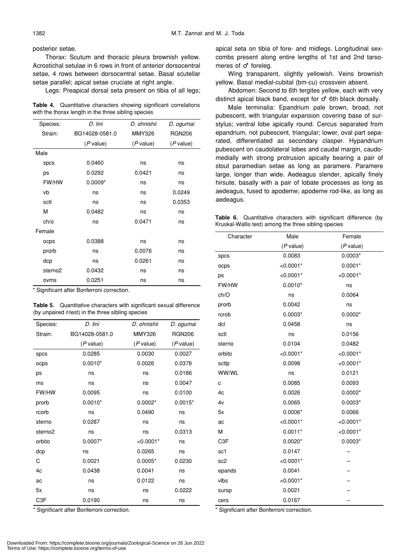posterior setae.

Thorax: Scutum and thoracic pleura brownish yellow. Acrostichal setulae in 6 rows in front of anterior dorsocentral setae, 4 rows between dorsocentral setae. Basal scutellar setae parallel; apical setae cruciate at right angle.

Legs: Preapical dorsal seta present on tibia of all legs;

**Table 4.** Quantitative characters showing significant correlations with the thorax length in the three sibling species

| Species:            | D. lini        | D. ohnishii   | D. ogumai     |  |  |
|---------------------|----------------|---------------|---------------|--|--|
| Strain:             | BG14028-0581.0 | <b>MMY326</b> | <b>RGN206</b> |  |  |
|                     | $(P$ value)    | $(P$ value)   | $(P$ value)   |  |  |
| Male                |                |               |               |  |  |
| spcs                | 0.0460         | ns            | ns            |  |  |
| ps                  | 0.0292         | 0.0421        | ns            |  |  |
| FW/HW               | $0.0009*$      | ns            | ns            |  |  |
| vb                  | ns             | ns            | 0.0249        |  |  |
| sctl                | ns             | ns            | 0.0353        |  |  |
| М                   | 0.0482         | ns            | ns            |  |  |
| $ch$ / $o$          | ns             | 0.0471        | ns            |  |  |
| Female              |                |               |               |  |  |
| ocps                | 0.0388         | ns            | ns            |  |  |
| prorb               | ns             | 0.0076        | ns            |  |  |
| dcp                 | ns             | 0.0261        | ns            |  |  |
| sterno <sub>2</sub> | 0.0432         | ns            | ns            |  |  |
| ovms                | 0.0251         | ns            | ns            |  |  |

\* Significant after Bonferroni correction.

**Table 5.** Quantitative characters with significant sexual difference (by unpaired *t*-test) in the three sibling species

| Species:            | D. lini        | D. ohnishii   | D. ogumai     |
|---------------------|----------------|---------------|---------------|
| Strain:             | BG14028-0581.0 | <b>MMY326</b> | <b>RGN206</b> |
|                     | $(P$ value)    | $(P$ value)   | $(P$ value)   |
| spcs                | 0.0285         | 0.0030        | 0.0027        |
| ocps                | $0.0010*$      | 0.0026        | 0.0378        |
| ps                  | ns             | ns            | 0.0186        |
| ms                  | ns             | ns            | 0.0047        |
| FW/HW               | 0.0095         | ns            | 0.0100        |
| prorb               | $0.0010*$      | $0.0002*$     | $0.0015*$     |
| rcorb               | ns             | 0.0490        | ns            |
| sterno              | 0.0287         | ns            | ns            |
| sterno <sub>2</sub> | ns             | ns            | 0.0313        |
| orbito              | $0.0007*$      | $< 0.0001*$   | ns            |
| dcp                 | ns             | 0.0265        | ns            |
| С                   | 0.0021         | $0.0005*$     | 0.0230        |
| 4c                  | 0.0438         | 0.0041        | ns            |
| ac                  | ns             | 0.0122        | ns            |
| 5x                  | ns             | ns            | 0.0222        |
| C3F                 | 0.0190         | ns            | ns            |

\* Significant after Bonferroni correction.

apical seta on tibia of fore- and midlegs. Longitudinal sexcombs present along entire lengths of 1st and 2nd tarsomeres of foreleg.

Wing transparent, slightly yellowish. Veins brownish yellow. Basal medial-cubital (bm-cu) crossvein absent.

Abdomen: Second to 6th tergites yellow, each with very distinct apical black band, except for 6th black dorsally.

Male terminalia: Epandrium pale brown, broad, not pubescent, with triangular expansion covering base of surstylus; ventral lobe apically round. Cercus separated from epandrium, not pubescent, triangular; lower, oval part separated, differentiated as secondary clasper. Hypandrium pubescent on caudolateral lobes and caudal margin, caudomedially with strong protrusion apically bearing a pair of stout paramedian setae as long as paramere. Paramere large, longer than wide. Aedeagus slender, apically finely hirsute, basally with a pair of lobate processes as long as aedeagus, fused to apodeme; apodeme rod-like, as long as aedeagus.

**Table 6.** Quantitative characters with significant difference (by Kruskal-Wallis test) among the three sibling species

| Character        | Male        | Female      |  |  |  |  |
|------------------|-------------|-------------|--|--|--|--|
|                  | $(P$ value) | $(P$ value) |  |  |  |  |
| spcs             | 0.0083      | $0.0003*$   |  |  |  |  |
| ocps             | $< 0.0001*$ | $0.0001*$   |  |  |  |  |
| ps               | $< 0.0001*$ | $< 0.0001*$ |  |  |  |  |
| FW/HW            | $0.0010*$   | ns          |  |  |  |  |
| ch/O             | ns          | 0.0064      |  |  |  |  |
| prorb            | 0.0042      | ns          |  |  |  |  |
| rcrob            | $0.0003*$   | $0.0002*$   |  |  |  |  |
| dcl              | 0.0458      | ns          |  |  |  |  |
| sctl             | ns          | 0.0156      |  |  |  |  |
| sterno           | 0.0104      | 0.0482      |  |  |  |  |
| orbito           | $< 0.0001*$ | $< 0.0001*$ |  |  |  |  |
| sctlp            | 0.0098      | $< 0.0001*$ |  |  |  |  |
| WW/WL            | ns          | 0.0121      |  |  |  |  |
| C                | 0.0085      | 0.0093      |  |  |  |  |
| 4c               | 0.0026      | $0.0002*$   |  |  |  |  |
| 4v               | 0.0065      | $0.0003*$   |  |  |  |  |
| 5x               | $0.0006*$   | 0.0066      |  |  |  |  |
| ac               | $< 0.0001*$ | $< 0.0001*$ |  |  |  |  |
| м                | $0.0011*$   | $< 0.0001*$ |  |  |  |  |
| C <sub>3</sub> F | $0.0020*$   | $0.0003*$   |  |  |  |  |
| sc1              | 0.0147      |             |  |  |  |  |
| sc <sub>2</sub>  | $< 0.0001*$ |             |  |  |  |  |
| epands           | 0.0041      |             |  |  |  |  |
| vlbs             | $< 0.0001*$ |             |  |  |  |  |
| sursp            | 0.0021      |             |  |  |  |  |
| cers             | 0.0167      |             |  |  |  |  |

\* Significant after Bonferroni correction.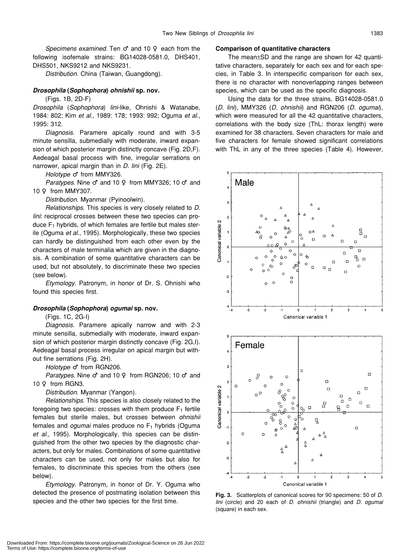*Specimens examined.* Ten and 10 each from the following isofemale strains: BG14028-0581.0, DHS401, DHS501, NKS9212 and NKS9231.

*Distribution.* China (Taiwan, Guangdong).

# *Drosophila* **(***Sophophora***)** *ohnishii* **sp. nov.**

(Figs. 1B, 2D-F)

*Drosophila* (*Sophophora*) *lini*-like, Ohnishi & Watanabe, 1984: 802; Kim *et al*., 1989: 178; 1993: 992; Oguma *et al*., 1995: 312.

*Diagnosis*. Paramere apically round and with 3-5 minute sensilla, submedially with moderate, inward expansion of which posterior margin distinctly concave (Fig. 2D,F). Aedeagal basal process with fine, irregular serrations on narrower, apical margin than in *D. lini* (Fig. 2E).

*Holotype* from MMY326.

*Paratypes*. Nine and 10 from MMY326; 10 and 10 from MMY307.

*Distribution*. Myanmar (Pyinoolwin).

*Relationships*. This species is very closely related to *D. lini*: reciprocal crosses between these two species can produce  $F_1$  hybrids, of which females are fertile but males sterile (Oguma *et al*., 1995). Morphologically, these two species can hardly be distinguished from each other even by the characters of male terminalia which are given in the diagnosis. A combination of some quantitative characters can be used, but not absolutely, to discriminate these two species (see below).

*Etymology*. Patronym, in honor of Dr. S. Ohnishi who found this species first.

# *Drosophila* **(***Sophophora***)** *ogumai* **sp. nov.**

(Figs. 1C, 2G-I)

*Diagnosis*. Paramere apically narrow and with 2-3 minute sensilla, submedially with moderate, inward expansion of which posterior margin distinctly concave (Fig. 2G,I). Aedeagal basal process irregular on apical margin but without fine serrations (Fig. 2H).

*Holotype* from RGN206.

*Paratypes*. Nine and 10 from RGN206; 10 and 10 from RGN3.

*Distribution*. Myanmar (Yangon).

*Relationships*. This species is also closely related to the foregoing two species: crosses with them produce  $F_1$  fertile females but sterile males, but crosses between *ohnishii* females and *ogumai* males produce no F<sub>1</sub> hybrids (Oguma *et al*., 1995). Morphologically, this species can be distinguished from the other two species by the diagnostic characters, but only for males. Combinations of some quantitative characters can be used, not only for males but also for females, to discriminate this species from the others (see below).

*Etymology*. Patronym, in honor of Dr. Y. Oguma who detected the presence of postmating isolation between this species and the other two species for the first time.

#### **Comparison of quantitative characters**

The mean±SD and the range are shown for 42 quantitative characters, separately for each sex and for each species, in Table 3. In interspecific comparison for each sex, there is no character with nonoverlapping ranges between species, which can be used as the specific diagnosis.

Using the data for the three strains, BG14028-0581.0 (*D. lini*), MMY326 (*D. ohnishii*) and RGN206 (*D. ogumai*), which were measured for all the 42 quantitative characters, correlations with the body size (ThL: thorax length) were examined for 38 characters. Seven characters for male and five characters for female showed significant correlations with ThL in any of the three species (Table 4). However,





**Fig. 3.** Scatterplots of canonical scores for 90 specimens: 50 of *D. lini* (circle) and 20 each of *D. ohnishii* (triangle) and *D. ogumai* (square) in each sex.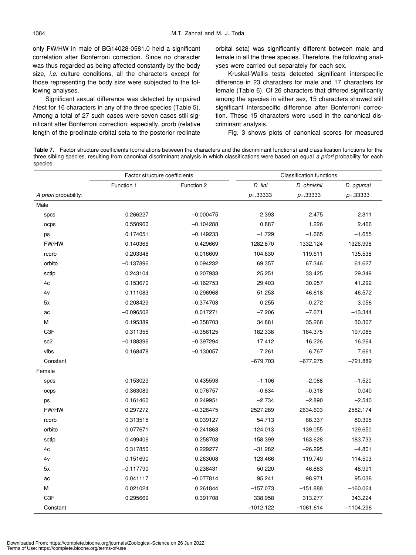only FW/HW in male of BG14028-0581.0 held a significant correlation after Bonferroni correction. Since no character was thus regarded as being affected constantly by the body size, *i.e*. culture conditions, all the characters except for those representing the body size were subjected to the following analyses.

Significant sexual difference was detected by unpaired *t*-test for 16 characters in any of the three species (Table 5). Among a total of 27 such cases were seven cases still significant after Bonferroni correction; especially, prorb (relative length of the proclinate orbital seta to the posterior reclinate orbital seta) was significantly different between male and female in all the three species. Therefore, the following analyses were carried out separately for each sex.

Kruskal-Wallis tests detected significant interspecific difference in 23 characters for male and 17 characters for female (Table 6). Of 26 characters that differed significantly among the species in either sex, 15 characters showed still significant interspecific difference after Bonferroni correction. These 15 characters were used in the canonical discriminant analysis.

Fig. 3 shows plots of canonical scores for measured

**Table 7.** Factor structure coefficients (correlations between the characters and the discriminant functions) and classification functions for the three sibling species, resulting from canonical discriminant analysis in which classifications were based on equal *a priori* probability for each species

|                       | Factor structure coefficients |             | <b>Classification functions</b> |             |             |  |  |
|-----------------------|-------------------------------|-------------|---------------------------------|-------------|-------------|--|--|
|                       | Function 1                    | Function 2  | D. lini                         | D. ohnishii | D. ogumai   |  |  |
| A priori probability: |                               |             | $p=.333333$                     | $p=.333333$ | $p=.333333$ |  |  |
| Male                  |                               |             |                                 |             |             |  |  |
| spcs                  | 0.266227                      | $-0.000475$ | 2.393                           | 2.475       | 2.311       |  |  |
| ocps                  | 0.550960                      | $-0.104288$ | 0.887                           | 1.226       | 2.466       |  |  |
| ps                    | 0.174051                      | $-0.149233$ | $-1.729$                        | $-1.665$    | $-1.655$    |  |  |
| FW/HW                 | 0.140366                      | 0.429669    | 1282.870                        | 1332.124    | 1326.998    |  |  |
| rcorb                 | 0.203348                      | 0.016609    | 104.630                         | 119.611     | 135.538     |  |  |
| orbito                | $-0.137896$                   | 0.094232    | 69.357                          | 67.346      | 61.627      |  |  |
| sctlp                 | 0.243104                      | 0.207933    | 25.251                          | 33.425      | 29.349      |  |  |
| 4c                    | 0.153670                      | $-0.162753$ | 29.403                          | 30.957      | 41.292      |  |  |
| 4v                    | 0.111083                      | $-0.296968$ | 51.253                          | 46.618      | 46.572      |  |  |
| 5x                    | 0.208429                      | $-0.374703$ | 0.255                           | $-0.272$    | 3.056       |  |  |
| ac                    | $-0.096502$                   | 0.017271    | $-7.206$                        | $-7.671$    | $-13.344$   |  |  |
| M                     | 0.195389                      | $-0.358703$ | 34.881                          | 35.268      | 30.307      |  |  |
| C <sub>3</sub> F      | 0.311355                      | $-0.356125$ | 182.338                         | 164.375     | 197.085     |  |  |
| sc <sub>2</sub>       | $-0.188396$                   | $-0.397294$ | 17.412                          | 16.226      | 16.264      |  |  |
| vlbs                  | 0.168478                      | $-0.130057$ | 7.261                           | 6.767       | 7.661       |  |  |
| Constant              |                               |             | $-679.703$                      | $-677.275$  | $-721.889$  |  |  |
| Female                |                               |             |                                 |             |             |  |  |
| spcs                  | 0.153029                      | 0.435593    | $-1.106$                        | $-2.088$    | $-1.520$    |  |  |
| ocps                  | 0.363089                      | 0.076757    | $-0.834$                        | $-0.318$    | 0.040       |  |  |
| ps                    | 0.161460                      | 0.249951    | $-2.734$                        | $-2.890$    | $-2.540$    |  |  |
| FW/HW                 | 0.297272                      | $-0.326475$ | 2527.289                        | 2634.603    | 2582.174    |  |  |
| rcorb                 | 0.313515                      | 0.039127    | 54.713                          | 68.337      | 80.395      |  |  |
| orbito                | 0.077671                      | $-0.241863$ | 124.013                         | 139.055     | 129.650     |  |  |
| sctlp                 | 0.499406                      | 0.258703    | 158.399                         | 163.628     | 183.733     |  |  |
| 4c                    | 0.317850                      | 0.229277    | $-31.282$                       | $-26.295$   | $-4.801$    |  |  |
| 4v                    | 0.151690                      | 0.263008    | 123.466                         | 119.749     | 114.503     |  |  |
| 5x                    | $-0.117790$                   | 0.238431    | 50.220                          | 46.883      | 48.991      |  |  |
| ac                    | 0.041117                      | $-0.077814$ | 95.241                          | 98.971      | 95.038      |  |  |
| М                     | 0.021024                      | 0.261844    | $-157.073$                      | $-151.888$  | $-160.064$  |  |  |
| C3F                   | 0.295669                      | 0.391708    | 338.958                         | 313.277     | 343.224     |  |  |
| Constant              |                               |             | $-1012.122$                     | $-1061.614$ | $-1104.296$ |  |  |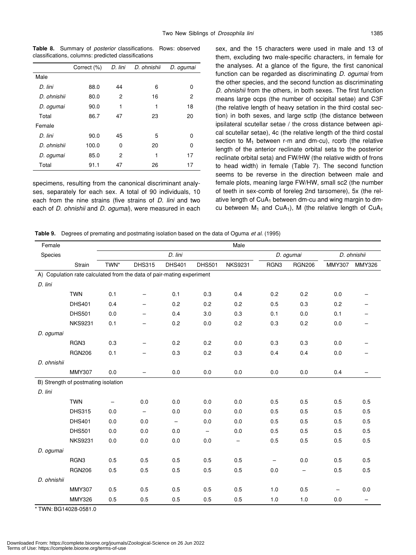**Table 8.** Summary of *posterior* classifications. Rows: observed classifications, columns: predicted classifications

|             | Correct (%) | D. lini | D. ohnishii | D. ogumai |
|-------------|-------------|---------|-------------|-----------|
|             |             |         |             |           |
| Male        |             |         |             |           |
| D. lini     | 88.0        | 44      | 6           | 0         |
| D. ohnishii | 80.0        | 2       | 16          | 2         |
| D. ogumai   | 90.0        | 1       | 1           | 18        |
| Total       | 86.7        | 47      | 23          | 20        |
| Female      |             |         |             |           |
| D. lini     | 90.0        | 45      | 5           | ŋ         |
| D. ohnishii | 100.0       | 0       | 20          | 0         |
| D. ogumai   | 85.0        | 2       | 1           | 17        |
| Total       | 91.1        | 47      | 26          | 17        |

specimens, resulting from the canonical discriminant analyses, separately for each sex. A total of 90 individuals, 10 each from the nine strains (five strains of *D. lini* and two each of *D. ohnishii* and *D. ogumai*), were measured in each sex, and the 15 characters were used in male and 13 of them, excluding two male-specific characters, in female for the analyses. At a glance of the figure, the first canonical function can be regarded as discriminating *D. ogumai* from the other species, and the second function as discriminating *D. ohnishii* from the others, in both sexes. The first function means large ocps (the number of occipital setae) and C3F (the relative length of heavy setation in the third costal section) in both sexes, and large sctlp (the distance between ipsilateral scutellar setae / the cross distance between apical scutellar setae), 4c (the relative length of the third costal section to  $M_1$  between r-m and dm-cu), rcorb (the relative length of the anterior reclinate orbital seta to the posterior reclinate orbital seta) and FW/HW (the relative width of frons to head width) in female (Table 7). The second function seems to be reverse in the direction between male and female plots, meaning large FW/HW, small sc2 (the number of teeth in sex-comb of foreleg 2nd tarsomere), 5x (the relative length of  $CuA<sub>1</sub>$  between dm-cu and wing margin to dmcu between  $M_1$  and CuA<sub>1</sub>), M (the relative length of CuA<sub>1</sub>

**Table 9.** Degrees of premating and postmating isolation based on the data of Oguma *et al*. (1995)

| Female      |                                     |                   |                                                                       |                   |                          | Male              |                   |               |                   |                   |
|-------------|-------------------------------------|-------------------|-----------------------------------------------------------------------|-------------------|--------------------------|-------------------|-------------------|---------------|-------------------|-------------------|
| Species     |                                     |                   |                                                                       | D. lini           |                          |                   |                   | D. ogumai     |                   | D. ohnishii       |
|             | Strain                              | TWN*              | <b>DHS315</b>                                                         | <b>DHS401</b>     | <b>DHS501</b>            | <b>NKS9231</b>    | RGN <sub>3</sub>  | <b>RGN206</b> | <b>MMY307</b>     | <b>MMY326</b>     |
|             |                                     |                   | A) Copulation rate calculated from the data of pair-mating experiment |                   |                          |                   |                   |               |                   |                   |
| D. lini     |                                     |                   |                                                                       |                   |                          |                   |                   |               |                   |                   |
|             | <b>TWN</b>                          | 0.1               | -                                                                     | 0.1               | 0.3                      | 0.4               | 0.2               | 0.2           | 0.0               |                   |
|             | <b>DHS401</b>                       | 0.4               |                                                                       | 0.2               | 0.2                      | 0.2               | 0.5               | 0.3           | 0.2               |                   |
|             | <b>DHS501</b>                       | 0.0               | -                                                                     | 0.4               | 3.0                      | 0.3               | 0.1               | 0.0           | 0.1               | $\qquad \qquad -$ |
|             | <b>NKS9231</b>                      | 0.1               |                                                                       | 0.2               | 0.0                      | 0.2               | 0.3               | 0.2           | 0.0               |                   |
| D. ogumai   |                                     |                   |                                                                       |                   |                          |                   |                   |               |                   |                   |
|             | RGN <sub>3</sub>                    | 0.3               | -                                                                     | 0.2               | 0.2                      | 0.0               | 0.3               | 0.3           | 0.0               |                   |
|             | <b>RGN206</b>                       | 0.1               |                                                                       | 0.3               | 0.2                      | 0.3               | 0.4               | 0.4           | 0.0               |                   |
| D. ohnishii |                                     |                   |                                                                       |                   |                          |                   |                   |               |                   |                   |
|             | <b>MMY307</b>                       | 0.0               | -                                                                     | 0.0               | 0.0                      | 0.0               | 0.0               | 0.0           | 0.4               | -                 |
|             | B) Strength of postmating isolation |                   |                                                                       |                   |                          |                   |                   |               |                   |                   |
| D. lini     |                                     |                   |                                                                       |                   |                          |                   |                   |               |                   |                   |
|             | <b>TWN</b>                          | $\qquad \qquad -$ | 0.0                                                                   | 0.0               | 0.0                      | 0.0               | 0.5               | 0.5           | 0.5               | 0.5               |
|             | <b>DHS315</b>                       | 0.0               | $\overline{\phantom{m}}$                                              | 0.0               | 0.0                      | 0.0               | 0.5               | 0.5           | 0.5               | 0.5               |
|             | <b>DHS401</b>                       | 0.0               | 0.0                                                                   | $\qquad \qquad -$ | 0.0                      | 0.0               | 0.5               | 0.5           | 0.5               | 0.5               |
|             | <b>DHS501</b>                       | 0.0               | 0.0                                                                   | 0.0               | $\overline{\phantom{0}}$ | 0.0               | 0.5               | 0.5           | 0.5               | 0.5               |
|             | <b>NKS9231</b>                      | 0.0               | 0.0                                                                   | 0.0               | 0.0                      | $\qquad \qquad -$ | 0.5               | 0.5           | 0.5               | 0.5               |
| D. ogumai   |                                     |                   |                                                                       |                   |                          |                   |                   |               |                   |                   |
|             | RGN <sub>3</sub>                    | 0.5               | 0.5                                                                   | 0.5               | 0.5                      | 0.5               | $\qquad \qquad -$ | 0.0           | 0.5               | 0.5               |
|             | <b>RGN206</b>                       | 0.5               | 0.5                                                                   | 0.5               | 0.5                      | 0.5               | 0.0               | -             | 0.5               | 0.5               |
| D. ohnishii |                                     |                   |                                                                       |                   |                          |                   |                   |               |                   |                   |
|             | <b>MMY307</b>                       | 0.5               | 0.5                                                                   | 0.5               | 0.5                      | 0.5               | 1.0               | 0.5           | $\qquad \qquad -$ | 0.0               |
|             | <b>MMY326</b>                       | 0.5               | 0.5                                                                   | 0.5               | 0.5                      | 0.5               | 1.0               | 1.0           | 0.0               | $\qquad \qquad -$ |

\* TWN: BG14028-0581.0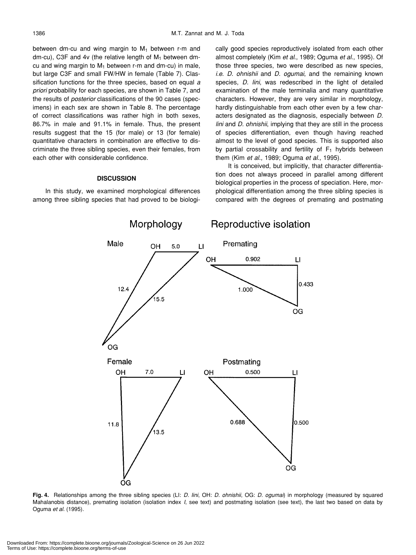between dm-cu and wing margin to  $M_1$  between r-m and dm-cu), C3F and 4v (the relative length of  $M_1$  between dmcu and wing margin to  $M_1$  between r-m and dm-cu) in male, but large C3F and small FW/HW in female (Table 7). Classification functions for the three species, based on equal *a priori* probability for each species, are shown in Table 7, and the results of *posterior* classifications of the 90 cases (specimens) in each sex are shown in Table 8. The percentage of correct classifications was rather high in both sexes, 86.7% in male and 91.1% in female. Thus, the present results suggest that the 15 (for male) or 13 (for female) quantitative characters in combination are effective to discriminate the three sibling species, even their females, from each other with considerable confidence.

# **DISCUSSION**

In this study, we examined morphological differences among three sibling species that had proved to be biologically good species reproductively isolated from each other almost completely (Kim *et al*., 1989; Oguma *et al*., 1995). Of those three species, two were described as new species, *i.e*. *D. ohnishii* and *D. ogumai*, and the remaining known species, *D. lini*, was redescribed in the light of detailed examination of the male terminalia and many quantitative characters. However, they are very similar in morphology, hardly distinguishable from each other even by a few characters designated as the diagnosis, especially between *D. lini* and *D. ohnishii*, implying that they are still in the process of species differentiation, even though having reached almost to the level of good species. This is supported also by partial crossability and fertility of  $F_1$  hybrids between them (Kim *et al*., 1989; Oguma *et al*., 1995).

It is conceived, but implicitly, that character differentiation does not always proceed in parallel among different biological properties in the process of speciation. Here, morphological differentiation among the three sibling species is compared with the degrees of premating and postmating



**Fig. 4.** Relationships among the three sibling species (LI: *D. lini*, OH: *D. ohnishii*, OG: *D. ogumai*) in morphology (measured by squared Mahalanobis distance), premating isolation (isolation index *I*, see text) and postmating isolation (see text), the last two based on data by Oguma *et al*. (1995).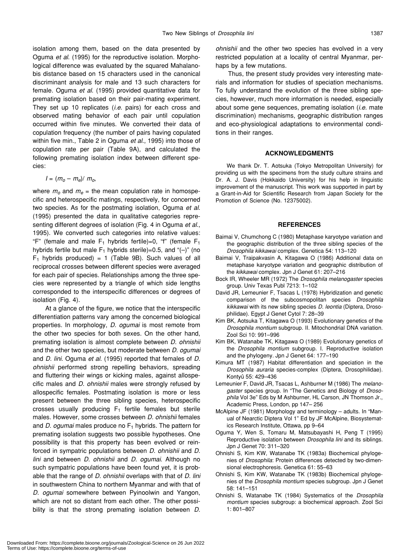isolation among them, based on the data presented by Oguma *et al*. (1995) for the reproductive isolation. Morphological difference was evaluated by the squared Mahalanobis distance based on 15 characters used in the canonical discriminant analysis for male and 13 such characters for female. Oguma *et al*. (1995) provided quantitative data for premating isolation based on their pair-mating experiment. They set up 10 replicates (*i.e.* pairs) for each cross and observed mating behavior of each pair until copulation occurred within five minutes. We converted their data of copulation frequency (the number of pairs having copulated within five min., Table 2 in Oguma *et al*., 1995) into those of copulation rate per pair (Table 9A), and calculated the following premating isolation index between different species:

$$
I=(m_o-m_e)/m_o,
$$

where  $m_0$  and  $m_e$  = the mean copulation rate in homospecific and heterospecific matings, respectively, for concerned two species. As for the postmating isolation, Oguma *et al*. (1995) presented the data in qualitative categories representing different degrees of isolation (Fig. 4 in Oguma *et al*., 1995). We converted such categories into relative values: "F" (female and male  $F_1$  hybrids fertile)=0, "f" (female  $F_1$ hybrids fertile but male  $F_1$  hybrids sterile)=0.5, and "(-)" (no  $F_1$  hybrids produced) = 1 (Table 9B). Such values of all reciprocal crosses between different species were averaged for each pair of species. Relationships among the three species were represented by a triangle of which side lengths corresponded to the interspecific differences or degrees of isolation (Fig. 4).

At a glance of the figure, we notice that the interspecific differentiation patterns vary among the concerned biological properties. In morphology, *D. ogumai* is most remote from the other two species for both sexes. On the other hand, premating isolation is almost complete between *D. ohnishii* and the other two species, but moderate between *D. ogumai* and *D. lini*. Oguma *et al*. (1995) reported that females of *D. ohnishii* performed strong repelling behaviors, spreading and fluttering their wings or kicking males, against allospecific males and *D. ohnishii* males were strongly refused by allospecific females. Postmating isolation is more or less present between the three sibling species, heterospecific crosses usually producing  $F_1$  fertile females but sterile males. However, some crosses between *D. ohnishii* females and *D. ogumai* males produce no F<sub>1</sub> hybrids. The pattern for premating isolation suggests two possible hypotheses. One possibility is that this property has been evolved or reinforced in sympatric populations between *D. ohnishii* and *D. lini* and between *D. ohnishii* and *D. ogumai*. Although no such sympatric populations have been found yet, it is probable that the range of *D. ohnishii* overlaps with that of *D. lini* in southwestern China to northern Myanmar and with that of *D. ogumai* somewhere between Pyinoolwin and Yangon, which are not so distant from each other. The other possibility is that the strong premating isolation between *D.*

*ohnishii* and the other two species has evolved in a very restricted population at a locality of central Myanmar, perhaps by a few mutations.

Thus, the present study provides very interesting materials and information for studies of speciation mechanisms. To fully understand the evolution of the three sibling species, however, much more information is needed, especially about some gene sequences, premating isolation (*i.e*. mate discrimination) mechanisms, geographic distribution ranges and eco-physiological adaptations to environmental conditions in their ranges.

# **ACKNOWLEDGMENTS**

We thank Dr. T. Aotsuka (Tokyo Metropolitan University) for providing us with the specimens from the study culture strains and Dr. A. J. Davis (Hokkaido University) for his help in linguistic improvement of the manuscript. This work was supported in part by a Grant-in-Aid for Scientific Research from Japan Society for the Promotion of Science (No. 12375002).

#### **REFERENCES**

- Baimai V, Chumchong C (1980) Metaphase karyotype variation and the geographic distribution of the three sibling species of the *Drosophila kikkawai* complex. Genetica 54: 113–120
- Baimai V, Traipakvasin A, Kitagawa O (1986) Additional data on metaphase karyotype variation and geographic distribution of the *kikkawai* complex. Jpn J Genet 61: 207–216
- Bock IR, Wheeler MR (1972) The *Drosophila melanogaster* species group. Univ Texas Publ 7213: 1–102
- David JR, Lemeunier F, Tsacas L (1978) Hybridization and genetic comparison of the subcosmopolitan species *Drosophila kikkawai* with its new sibling species *D*. *leontia* (Diptera, Drosophilidae). Egypt J Genet Cytol 7: 28–39
- Kim BK, Aotsuka T, Kitagawa O (1993) Evolutionary genetics of the *Drosophila montium* subgroup. II. Mitochondrial DNA variation. Zool Sci 10: 991–996
- Kim BK, Watanabe TK, Kitagawa O (1989) Evolutionary genetics of the *Drosophila montium* subgroup. I. Reproductive isolation and the phylogeny. Jpn J Genet 64: 177–190
- Kimura MT (1987) Habitat differentiation and speciation in the *Drosophila auraria* species-complex (Diptera, Drosophilidae). Kontyû 55: 429–436
- Lemeunier F, David JR, Tsacas L, Ashburner M (1986) The *melanogaster* species group. In "The Genetics and Biology of *Drosophila* Vol 3e" Eds by M Ashburner, HL Carson, JN Thomson Jr., Academic Press, London, pp 147– 256
- McAlpine JF (1981) Morphology and terminology adults. In "Manual of Nearctic Diptera Vol 1" Ed by JF McAlpine, Biosystematics Research Institute, Ottawa, pp 9–64
- Oguma Y, Wen S, Tomaru M, Matsubayashi H, Peng T (1995) Reproductive isolation between *Drosophila lini* and its siblings. Jpn J Genet 70: 311–320
- Ohnishi S, Kim KW, Watanabe TK (1983a) Biochemical phylogenies of *Drosophila*: Protein differences detected by two-dimensional electrophoresis. Genetica 61: 55–63
- Ohnishi S, Kim KW, Watanabe TK (1983b) Biochemical phylogenies of the *Drosophila montium* species subgroup. Jpn J Genet 58: 141–151
- Ohnishi S, Watanabe TK (1984) Systematics of the *Drosophila montium* species subgroup: a biochemical approach. Zool Sci 1: 801–807